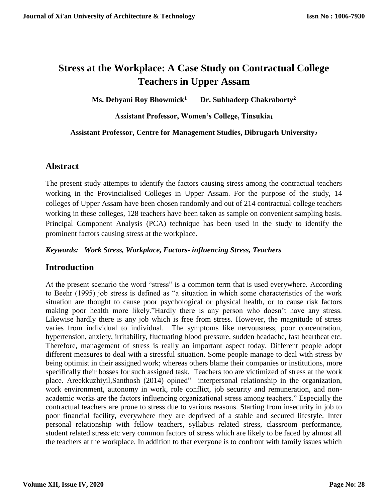# **Stress at the Workplace: A Case Study on Contractual College Teachers in Upper Assam**

**Ms. Debyani Roy Bhowmick<sup>1</sup> Dr. Subhadeep Chakraborty<sup>2</sup>**

### **Assistant Professor, Women's College, Tinsukia<sup>1</sup>**

### **Assistant Professor, Centre for Management Studies, Dibrugarh University<sup>2</sup>**

# **Abstract**

The present study attempts to identify the factors causing stress among the contractual teachers working in the Provincialised Colleges in Upper Assam. For the purpose of the study, 14 colleges of Upper Assam have been chosen randomly and out of 214 contractual college teachers working in these colleges, 128 teachers have been taken as sample on convenient sampling basis. Principal Component Analysis (PCA) technique has been used in the study to identify the prominent factors causing stress at the workplace.

### *Keywords: Work Stress, Workplace, Factors- influencing Stress, Teachers*

## **Introduction**

At the present scenario the word "stress" is a common term that is used everywhere. According to Beehr (1995) job stress is defined as "a situation in which some characteristics of the work situation are thought to cause poor psychological or physical health, or to cause risk factors making poor health more likely."Hardly there is any person who doesn't have any stress. Likewise hardly there is any job which is free from stress. However, the magnitude of stress varies from individual to individual. The symptoms like nervousness, poor concentration, hypertension, anxiety, irritability, fluctuating blood pressure, sudden headache, fast heartbeat etc. Therefore, management of stress is really an important aspect today. Different people adopt different measures to deal with a stressful situation. Some people manage to deal with stress by being optimist in their assigned work; whereas others blame their companies or institutions, more specifically their bosses for such assigned task. Teachers too are victimized of stress at the work place. Areekkuzhiyil,Santhosh (2014) opined" interpersonal relationship in the organization, work environment, autonomy in work, role conflict, job security and remuneration, and nonacademic works are the factors influencing organizational stress among teachers." Especially the contractual teachers are prone to stress due to various reasons. Starting from insecurity in job to poor financial facility, everywhere they are deprived of a stable and secured lifestyle. Inter personal relationship with fellow teachers, syllabus related stress, classroom performance, student related stress etc very common factors of stress which are likely to be faced by almost all the teachers at the workplace. In addition to that everyone is to confront with family issues which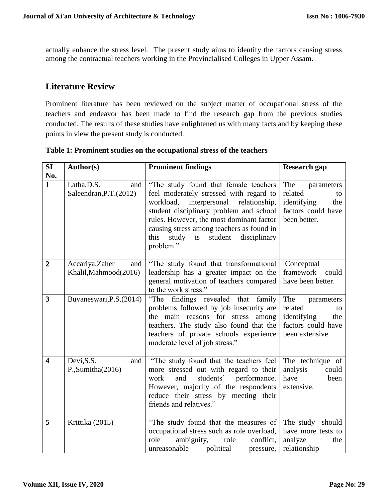actually enhance the stress level. The present study aims to identify the factors causing stress among the contractual teachers working in the Provincialised Colleges in Upper Assam.

# **Literature Review**

Prominent literature has been reviewed on the subject matter of occupational stress of the teachers and endeavor has been made to find the research gap from the previous studies conducted. The results of these studies have enlightened us with many facts and by keeping these points in view the present study is conducted.

| SI                      | Author(s)                                       | <b>Prominent findings</b>                                                                                                                                                                                                                                                                                                          | <b>Research gap</b>                                                                               |  |
|-------------------------|-------------------------------------------------|------------------------------------------------------------------------------------------------------------------------------------------------------------------------------------------------------------------------------------------------------------------------------------------------------------------------------------|---------------------------------------------------------------------------------------------------|--|
| No.<br>$\mathbf{1}$     | Latha, D.S.<br>and<br>Saleendran, P.T. (2012)   | "The study found that female teachers<br>feel moderately stressed with regard to<br>workload,<br>interpersonal<br>relationship,<br>student disciplinary problem and school<br>rules. However, the most dominant factor<br>causing stress among teachers as found in<br>study<br>is<br>student<br>this<br>disciplinary<br>problem." | The<br>parameters<br>related<br>to<br>identifying<br>the<br>factors could have<br>been better.    |  |
| $\overline{2}$          | Accariya, Zaher<br>and<br>Khalil, Mahmood(2016) | "The study found that transformational<br>leadership has a greater impact on the<br>general motivation of teachers compared<br>to the work stress."                                                                                                                                                                                | Conceptual<br>framework<br>could<br>have been better.                                             |  |
| 3                       | Buvaneswari, P.S. (2014)                        | "The findings revealed that family<br>problems followed by job insecurity are<br>the main reasons for stress<br>among<br>teachers. The study also found that the<br>teachers of private schools experience<br>moderate level of job stress."                                                                                       | The<br>parameters<br>related<br>to<br>identifying<br>the<br>factors could have<br>been extensive. |  |
| $\overline{\mathbf{4}}$ | Devi, S.S.<br>and<br>P., Sumitha(2016)          | "The study found that the teachers feel<br>more stressed out with regard to their<br>students'<br>performance.<br>work<br>and<br>However, majority of the respondents<br>reduce their stress by meeting their<br>friends and relatives."                                                                                           | The technique of<br>analysis<br>could<br>have<br>been<br>extensive.                               |  |
| 5                       | Krittika (2015)                                 | "The study found that the measures of<br>occupational stress such as role overload,<br>role<br>ambiguity,<br>conflict,<br>role<br>unreasonable<br>political<br>pressure,                                                                                                                                                           | The study should<br>have more tests to<br>analyze<br>the<br>relationship                          |  |

**Table 1: Prominent studies on the occupational stress of the teachers**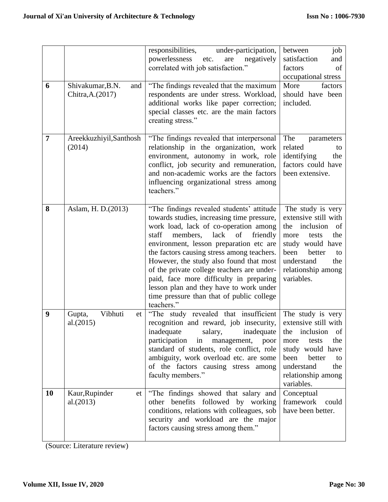| 6              | Shivakumar, B.N.<br>and<br>Chitra, A. (2017) | under-participation,<br>responsibilities,<br>powerlessness<br>negatively<br>etc.<br>are<br>correlated with job satisfaction."<br>"The findings revealed that the maximum<br>respondents are under stress. Workload,<br>additional works like paper correction;<br>special classes etc. are the main factors<br>creating stress."                                                                                                                                                                                   | job<br>between<br>satisfaction<br>and<br>factors<br>of<br>occupational stress<br>More<br>factors<br>should have been<br>included.                                                                |
|----------------|----------------------------------------------|--------------------------------------------------------------------------------------------------------------------------------------------------------------------------------------------------------------------------------------------------------------------------------------------------------------------------------------------------------------------------------------------------------------------------------------------------------------------------------------------------------------------|--------------------------------------------------------------------------------------------------------------------------------------------------------------------------------------------------|
| $\overline{7}$ | Areekkuzhiyil, Santhosh<br>(2014)            | "The findings revealed that interpersonal<br>relationship in the organization, work<br>environment, autonomy in work, role<br>conflict, job security and remuneration,<br>and non-academic works are the factors<br>influencing organizational stress among<br>teachers."                                                                                                                                                                                                                                          | The<br>parameters<br>related<br>to<br>identifying<br>the<br>factors could have<br>been extensive.                                                                                                |
| 8              | Aslam, H. D. (2013)                          | "The findings revealed students' attitude<br>towards studies, increasing time pressure,<br>work load, lack of co-operation among<br>staff<br>members,<br>lack<br>friendly<br>of<br>environment, lesson preparation etc are<br>the factors causing stress among teachers.<br>However, the study also found that most<br>of the private college teachers are under-<br>paid, face more difficulty in preparing<br>lesson plan and they have to work under<br>time pressure than that of public college<br>teachers." | The study is very<br>extensive still with<br>inclusion<br>the<br>of<br>the<br>tests<br>more<br>study would have<br>been<br>better<br>to<br>understand<br>the<br>relationship among<br>variables. |
| 9              | Vibhuti<br>Gupta,<br>et<br>al.(2015)         | "The study revealed that insufficient<br>recognition and reward, job insecurity,<br>inadequate<br>salary,<br>inadequate<br>participation<br>poor<br>in<br>management,<br>standard of students, role conflict, role<br>ambiguity, work overload etc. are some<br>of the factors causing stress among<br>faculty members."                                                                                                                                                                                           | The study is very<br>extensive still with<br>inclusion<br>the<br>of<br>the<br>tests<br>more<br>study would have<br>been<br>better<br>to<br>understand<br>the<br>relationship among<br>variables. |
| <b>10</b>      | Kaur, Rupinder<br>et<br>al.(2013)            | "The findings showed that salary and<br>other benefits followed by working<br>conditions, relations with colleagues, sob<br>security and workload are the major<br>factors causing stress among them."                                                                                                                                                                                                                                                                                                             | Conceptual<br>framework<br>could<br>have been better.                                                                                                                                            |

(Source: Literature review)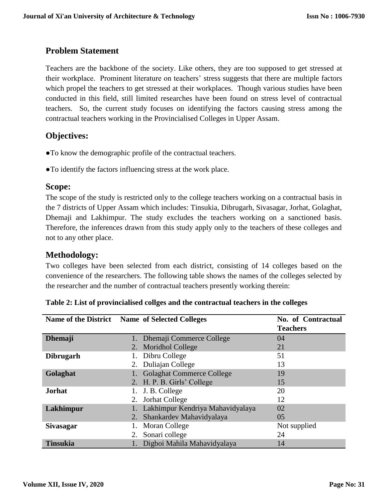# **Problem Statement**

Teachers are the backbone of the society. Like others, they are too supposed to get stressed at their workplace. Prominent literature on teachers' stress suggests that there are multiple factors which propel the teachers to get stressed at their workplaces. Though various studies have been conducted in this field, still limited researches have been found on stress level of contractual teachers. So, the current study focuses on identifying the factors causing stress among the contractual teachers working in the Provincialised Colleges in Upper Assam.

# **Objectives:**

- **●**To know the demographic profile of the contractual teachers.
- ●To identify the factors influencing stress at the work place.

### **Scope:**

The scope of the study is restricted only to the college teachers working on a contractual basis in the 7 districts of Upper Assam which includes: Tinsukia, Dibrugarh, Sivasagar, Jorhat, Golaghat, Dhemaji and Lakhimpur. The study excludes the teachers working on a sanctioned basis. Therefore, the inferences drawn from this study apply only to the teachers of these colleges and not to any other place.

# **Methodology:**

Two colleges have been selected from each district, consisting of 14 colleges based on the convenience of the researchers. The following table shows the names of the colleges selected by the researcher and the number of contractual teachers presently working therein:

| Name of the District Name of Selected Colleges |    |                                  | No. of Contractual |
|------------------------------------------------|----|----------------------------------|--------------------|
|                                                |    |                                  | <b>Teachers</b>    |
| <b>Dhemaji</b>                                 |    | 1. Dhemaji Commerce College      | 04                 |
|                                                |    | 2. Moridhol College              | 21                 |
| <b>Dibrugarh</b>                               |    | Dibru College                    | 51                 |
|                                                |    | Duliajan College                 | 13                 |
| Golaghat                                       |    | <b>Golaghat Commerce College</b> | 19                 |
|                                                |    | 2. H. P. B. Girls' College       | 15                 |
| <b>Jorhat</b>                                  |    | J. B. College                    | 20                 |
|                                                |    | Jorhat College                   | 12                 |
| Lakhimpur                                      |    | Lakhimpur Kendriya Mahavidyalaya | 02                 |
|                                                | 2. | Shankardev Mahavidyalaya         | 05                 |
| <b>Sivasagar</b>                               |    | Moran College                    | Not supplied       |
|                                                | 2. | Sonari college                   | 24                 |
| <b>Tinsukia</b>                                |    | Digboi Mahila Mahavidyalaya      | 14                 |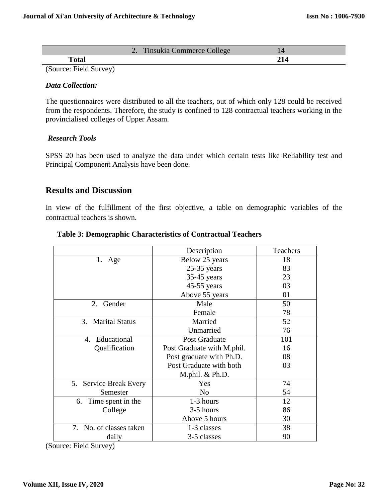|             | Ξ<br>ee<br>$\overline{\phantom{a}}$ |  |
|-------------|-------------------------------------|--|
| —<br>$   -$ |                                     |  |

(Source: Field Survey)

#### *Data Collection:*

The questionnaires were distributed to all the teachers, out of which only 128 could be received from the respondents. Therefore, the study is confined to 128 contractual teachers working in the provincialised colleges of Upper Assam.

#### *Research Tools*

SPSS 20 has been used to analyze the data under which certain tests like Reliability test and Principal Component Analysis have been done.

### **Results and Discussion**

In view of the fulfillment of the first objective, a table on demographic variables of the contractual teachers is shown.

|                         | Description                | <b>Teachers</b> |
|-------------------------|----------------------------|-----------------|
| 1. Age                  | Below 25 years             | 18              |
|                         | $25-35$ years              | 83              |
|                         | $35-45$ years              | 23              |
|                         | $45-55$ years              | 03              |
|                         | Above 55 years             | 01              |
| 2. Gender               | Male                       | 50              |
|                         | Female                     | 78              |
| 3. Marital Status       | Married                    | 52              |
|                         | Unmarried                  | 76              |
| 4. Educational          | <b>Post Graduate</b>       | 101             |
| Qualification           | Post Graduate with M.phil. | 16              |
|                         | Post graduate with Ph.D.   | 08              |
|                         | Post Graduate with both    | 03              |
|                         | M.phil. & Ph.D.            |                 |
| 5. Service Break Every  | Yes                        | 74              |
| Semester                | N <sub>o</sub>             | 54              |
| 6. Time spent in the    | 1-3 hours                  | 12              |
| College                 | 3-5 hours                  | 86              |
|                         | Above 5 hours              | 30              |
| 7. No. of classes taken | 1-3 classes                | 38              |
| daily                   | 3-5 classes                | 90              |

#### **Table 3: Demographic Characteristics of Contractual Teachers**

(Source: Field Survey)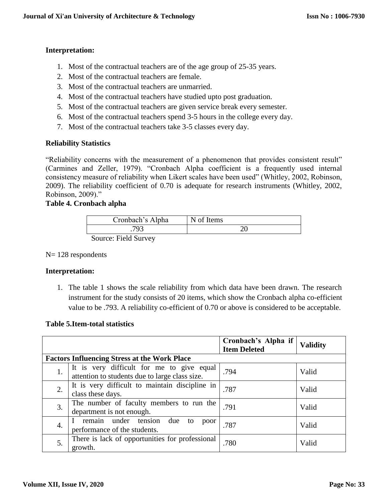### **Interpretation:**

- 1. Most of the contractual teachers are of the age group of 25-35 years.
- 2. Most of the contractual teachers are female.
- 3. Most of the contractual teachers are unmarried.
- 4. Most of the contractual teachers have studied upto post graduation.
- 5. Most of the contractual teachers are given service break every semester.
- 6. Most of the contractual teachers spend 3-5 hours in the college every day.
- 7. Most of the contractual teachers take 3-5 classes every day.

#### **Reliability Statistics**

"Reliability concerns with the measurement of a phenomenon that provides consistent result" (Carmines and Zeller, 1979). "Cronbach Alpha coefficient is a frequently used internal consistency measure of reliability when Likert scales have been used" (Whitley, 2002, Robinson, 2009). The reliability coefficient of 0.70 is adequate for research instruments (Whitley, 2002, Robinson, 2009)."

#### **Table 4. Cronbach alpha**

|        | Cronbach's Alpha | N of Items |
|--------|------------------|------------|
|        | פס⊤              |            |
| $\sim$ | $\cdots$         |            |

Source: Field Survey

#### N= 128 respondents

#### **Interpretation:**

1. The table 1 shows the scale reliability from which data have been drawn. The research instrument for the study consists of 20 items, which show the Cronbach alpha co-efficient value to be .793. A reliability co-efficient of 0.70 or above is considered to be acceptable.

#### **Table 5.Item-total statistics**

|    |                                                                                             | Cronbach's Alpha if<br><b>Item Deleted</b> | <b>Validity</b> |
|----|---------------------------------------------------------------------------------------------|--------------------------------------------|-----------------|
|    | <b>Factors Influencing Stress at the Work Place</b>                                         |                                            |                 |
| 1. | It is very difficult for me to give equal<br>attention to students due to large class size. | .794                                       | Valid           |
| 2. | It is very difficult to maintain discipline in<br>class these days.                         | .787                                       | Valid           |
| 3. | The number of faculty members to run the<br>department is not enough.                       | .791                                       | Valid           |
| 4. | remain under tension<br>due<br>to<br>poor<br>performance of the students.                   | .787                                       | Valid           |
| 5. | There is lack of opportunities for professional<br>growth.                                  | .780                                       | Valid           |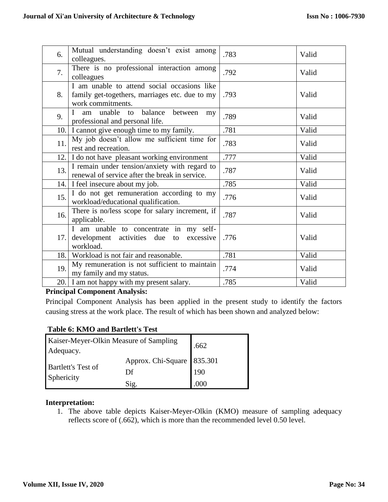| 6.   | Mutual understanding doesn't exist among<br>colleagues.                                                            | .783 | Valid |
|------|--------------------------------------------------------------------------------------------------------------------|------|-------|
| 7.   | There is no professional interaction among<br>colleagues                                                           | .792 | Valid |
| 8.   | I am unable to attend social occasions like<br>family get-togethers, marriages etc. due to my<br>work commitments. | .793 | Valid |
| 9.   | am unable to balance<br>$\mathbf{I}$<br>between<br>my<br>professional and personal life.                           | .789 | Valid |
| 10.1 | I cannot give enough time to my family.                                                                            | .781 | Valid |
| 11.  | My job doesn't allow me sufficient time for<br>rest and recreation.                                                | .783 | Valid |
| 12.  | I do not have pleasant working environment                                                                         | .777 | Valid |
| 13.  | I remain under tension/anxiety with regard to<br>renewal of service after the break in service.                    | .787 | Valid |
|      | 14. I feel insecure about my job.                                                                                  | .785 | Valid |
| 15.  | I do not get remuneration according to my<br>workload/educational qualification.                                   | .776 | Valid |
| 16.  | There is no/less scope for salary increment, if<br>applicable.                                                     | .787 | Valid |
| 17.1 | I am unable to concentrate in my self-<br>development activities due<br>excessive<br>to<br>workload.               | .776 | Valid |
| 18.  | Workload is not fair and reasonable.                                                                               | .781 | Valid |
| 19.  | My remuneration is not sufficient to maintain<br>my family and my status.                                          | .774 | Valid |
|      | 20. I am not happy with my present salary.                                                                         | .785 | Valid |

#### **Principal Component Analysis:**

Principal Component Analysis has been applied in the present study to identify the factors causing stress at the work place. The result of which has been shown and analyzed below:

#### **Table 6: KMO and Bartlett's Test**

| Kaiser-Meyer-Olkin Measure of Sampling<br>Adequacy. | .662                     |                |
|-----------------------------------------------------|--------------------------|----------------|
| <b>Bartlett's Test of</b>                           | Approx. Chi-Square<br>Df | 835.301<br>190 |
| Sphericity                                          | S12.                     | .000           |

#### **Interpretation:**

1. The above table depicts Kaiser-Meyer-Olkin (KMO) measure of sampling adequacy reflects score of (.662), which is more than the recommended level 0.50 level.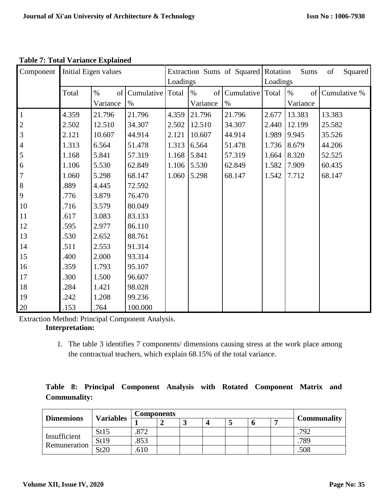| Component        | Initial Eigen values |                        |                          |       | Extraction Sums of Squared Rotation<br>Loadings |                          |       | Squared<br>Sums<br>of<br>Loadings |              |  |
|------------------|----------------------|------------------------|--------------------------|-------|-------------------------------------------------|--------------------------|-------|-----------------------------------|--------------|--|
|                  | Total                | $\%$<br>of<br>Variance | Cumulative Total<br>$\%$ |       | $\%$<br>of<br>Variance                          | Cumulative Total<br>$\%$ |       | $\%$<br>of  <br>Variance          | Cumulative % |  |
| $\overline{1}$   | 4.359                | 21.796                 | 21.796                   | 4.359 | 21.796                                          | 21.796                   | 2.677 | 13.383                            | 13.383       |  |
|                  | 2.502                | 12.510                 | 34.307                   | 2.502 | 12.510                                          | 34.307                   | 2.440 | 12.199                            | 25.582       |  |
| $\frac{2}{3}$    | 2.121                | 10.607                 | 44.914                   | 2.121 | 10.607                                          | 44.914                   | 1.989 | 9.945                             | 35.526       |  |
| $\overline{4}$   | 1.313                | 6.564                  | 51.478                   | 1.313 | 6.564                                           | 51.478                   | 1.736 | 8.679                             | 44.206       |  |
| $\overline{5}$   | 1.168                | 5.841                  | 57.319                   | 1.168 | 5.841                                           | 57.319                   | 1.664 | 8.320                             | 52.525       |  |
| $\sqrt{6}$       | 1.106                | 5.530                  | 62.849                   | 1.106 | 5.530                                           | 62.849                   | 1.582 | 7.909                             | 60.435       |  |
| $\boldsymbol{7}$ | 1.060                | 5.298                  | 68.147                   | 1.060 | 5.298                                           | 68.147                   | 1.542 | 7.712                             | 68.147       |  |
| $\bf{8}$         | .889                 | 4.445                  | 72.592                   |       |                                                 |                          |       |                                   |              |  |
| 9                | .776                 | 3.879                  | 76.470                   |       |                                                 |                          |       |                                   |              |  |
| 10               | .716                 | 3.579                  | 80.049                   |       |                                                 |                          |       |                                   |              |  |
| 11               | .617                 | 3.083                  | 83.133                   |       |                                                 |                          |       |                                   |              |  |
| 12               | .595                 | 2.977                  | 86.110                   |       |                                                 |                          |       |                                   |              |  |
| 13               |                      |                        |                          |       |                                                 |                          |       |                                   |              |  |
|                  | .530                 | 2.652                  | 88.761                   |       |                                                 |                          |       |                                   |              |  |
| 14               | .511                 | 2.553                  | 91.314                   |       |                                                 |                          |       |                                   |              |  |
| 15               | .400                 | 2.000                  | 93.314                   |       |                                                 |                          |       |                                   |              |  |
| 16               | .359                 | 1.793                  | 95.107                   |       |                                                 |                          |       |                                   |              |  |
| 17               | .300                 | 1.500                  | 96.607                   |       |                                                 |                          |       |                                   |              |  |
| 18               | .284                 | 1.421                  | 98.028                   |       |                                                 |                          |       |                                   |              |  |
| 19               | .242                 | 1.208                  | 99.236                   |       |                                                 |                          |       |                                   |              |  |
| 20               | .153                 | .764                   | 100.000                  |       |                                                 |                          |       |                                   |              |  |

**Table 7: Total Variance Explained**

Extraction Method: Principal Component Analysis.

### **Interpretation:**

1. The table 3 identifies 7 components/ dimensions causing stress at the work place among the contractual teachers, which explain 68.15% of the total variance.

|                     |  |  |  | Table 8: Principal Component Analysis with Rotated Component Matrix and |  |
|---------------------|--|--|--|-------------------------------------------------------------------------|--|
| <b>Communality:</b> |  |  |  |                                                                         |  |

| <b>Dimensions</b>            | <b>Variables</b> | <b>Components</b> |  |   |   |  |                    |
|------------------------------|------------------|-------------------|--|---|---|--|--------------------|
|                              |                  |                   |  | ↵ | J |  | <b>Communality</b> |
| Insufficient<br>Remuneration | St15             | .872              |  |   |   |  | .792               |
|                              | St19             | .853              |  |   |   |  | .789               |
|                              | St20             | .610              |  |   |   |  | .508               |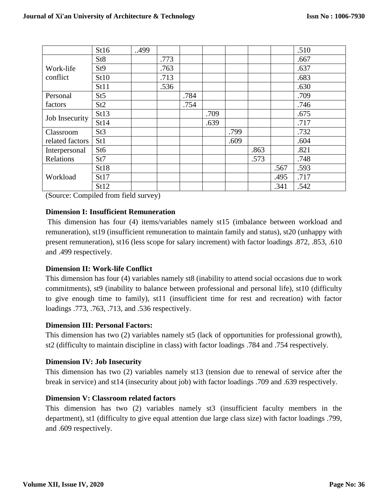|                       | St16            | 499 |      |      |      |      |      |      | .510 |
|-----------------------|-----------------|-----|------|------|------|------|------|------|------|
| Work-life<br>conflict | St <sub>8</sub> |     | .773 |      |      |      |      |      | .667 |
|                       | St <sub>9</sub> |     | .763 |      |      |      |      |      | .637 |
|                       | St10            |     | .713 |      |      |      |      |      | .683 |
|                       | St11            |     | .536 |      |      |      |      |      | .630 |
| Personal              | St5             |     |      | .784 |      |      |      |      | .709 |
| factors               | St <sub>2</sub> |     |      | .754 |      |      |      |      | .746 |
| Job Insecurity        | St13            |     |      |      | .709 |      |      |      | .675 |
|                       | St14            |     |      |      | .639 |      |      |      | .717 |
| Classroom             | St <sub>3</sub> |     |      |      |      | .799 |      |      | .732 |
| related factors       | St1             |     |      |      |      | .609 |      |      | .604 |
| Interpersonal         | St <sub>6</sub> |     |      |      |      |      | .863 |      | .821 |
| Relations             | St7             |     |      |      |      |      | .573 |      | .748 |
| Workload              | St18            |     |      |      |      |      |      | .567 | .593 |
|                       | St17            |     |      |      |      |      |      | .495 | .717 |
|                       | St12            |     |      |      |      |      |      | .341 | .542 |

(Source: Compiled from field survey)

#### **Dimension I: Insufficient Remuneration**

This dimension has four (4) items/variables namely st15 (imbalance between workload and remuneration), st19 (insufficient remuneration to maintain family and status), st20 (unhappy with present remuneration), st16 (less scope for salary increment) with factor loadings .872, .853, .610 and .499 respectively.

#### **Dimension II: Work-life Conflict**

This dimension has four (4) variables namely st8 (inability to attend social occasions due to work commitments), st9 (inability to balance between professional and personal life), st10 (difficulty to give enough time to family), st11 (insufficient time for rest and recreation) with factor loadings .773, .763, .713, and .536 respectively.

#### **Dimension III: Personal Factors:**

This dimension has two (2) variables namely st5 (lack of opportunities for professional growth), st2 (difficulty to maintain discipline in class) with factor loadings .784 and .754 respectively.

#### **Dimension IV: Job Insecurity**

This dimension has two (2) variables namely st13 (tension due to renewal of service after the break in service) and st14 (insecurity about job) with factor loadings .709 and .639 respectively.

#### **Dimension V: Classroom related factors**

This dimension has two (2) variables namely st3 (insufficient faculty members in the department), st1 (difficulty to give equal attention due large class size) with factor loadings .799, and .609 respectively.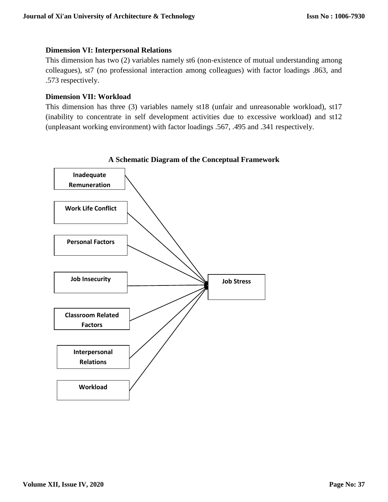#### **Dimension VI: Interpersonal Relations**

This dimension has two (2) variables namely st6 (non-existence of mutual understanding among colleagues), st7 (no professional interaction among colleagues) with factor loadings .863, and .573 respectively.

#### **Dimension VII: Workload**

This dimension has three (3) variables namely st18 (unfair and unreasonable workload), st17 (inability to concentrate in self development activities due to excessive workload) and st12 (unpleasant working environment) with factor loadings .567, .495 and .341 respectively.



**A Schematic Diagram of the Conceptual Framework**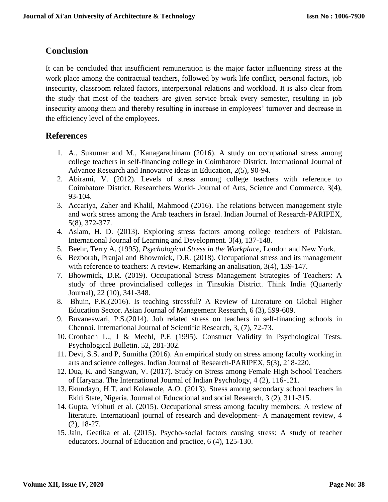# **Conclusion**

It can be concluded that insufficient remuneration is the major factor influencing stress at the work place among the contractual teachers, followed by work life conflict, personal factors, job insecurity, classroom related factors, interpersonal relations and workload. It is also clear from the study that most of the teachers are given service break every semester, resulting in job insecurity among them and thereby resulting in increase in employees' turnover and decrease in the efficiency level of the employees.

# **References**

- 1. A., Sukumar and M., Kanagarathinam (2016). A study on occupational stress among college teachers in self-financing college in Coimbatore District. International Journal of Advance Research and Innovative ideas in Education, 2(5), 90-94.
- 2. Abirami, V. (2012). Levels of stress among college teachers with reference to Coimbatore District. Researchers World- Journal of Arts, Science and Commerce, 3(4), 93-104.
- 3. Accariya, Zaher and Khalil, Mahmood (2016). The relations between management style and work stress among the Arab teachers in Israel. Indian Journal of Research-PARIPEX, 5(8), 372-377.
- 4. Aslam, H. D. (2013). Exploring stress factors among college teachers of Pakistan. International Journal of Learning and Development. 3(4), 137-148.
- 5. Beehr, Terry A. (1995), *Psychological Stress in the Workplace,* London and New York.
- 6. Bezborah, Pranjal and Bhowmick, D.R. (2018). Occupational stress and its management with reference to teachers: A review. Remarking an analisation, 3(4), 139-147.
- 7. Bhowmick, D.R. (2019). Occupational Stress Management Strategies of Teachers: A study of three provincialised colleges in Tinsukia District. Think India (Quarterly Journal), 22 (10), 341-348.
- 8. Bhuin, P.K.(2016). Is teaching stressful? A Review of Literature on Global Higher Education Sector. Asian Journal of Management Research, 6 (3), 599-609.
- 9. Buvaneswari, P.S.(2014). Job related stress on teachers in self-financing schools in Chennai. International Journal of Scientific Research, 3, (7), 72-73.
- 10. Cronbach L., J & Meehl, P.E (1995). Construct Validity in Psychological Tests. Psychological Bulletin. 52, 281-302.
- 11. Devi, S.S. and P, Sumitha (2016). An empirical study on stress among faculty working in arts and science colleges. Indian Journal of Research-PARIPEX, 5(3), 218-220.
- 12. Dua, K. and Sangwan, V. (2017). Study on Stress among Female High School Teachers of Haryana. The International Journal of Indian Psychology, 4 (2), 116-121.
- 13. Ekundayo, H.T. and Kolawole, A.O. (2013). Stress among secondary school teachers in Ekiti State, Nigeria. Journal of Educational and social Research, 3 (2), 311-315.
- 14. Gupta, Vibhuti et al. (2015). Occupational stress among faculty members: A review of literature. Internatioanl journal of research and development- A management review, 4 (2), 18-27.
- 15. Jain, Geetika et al. (2015). Psycho-social factors causing stress: A study of teacher educators. Journal of Education and practice, 6 (4), 125-130.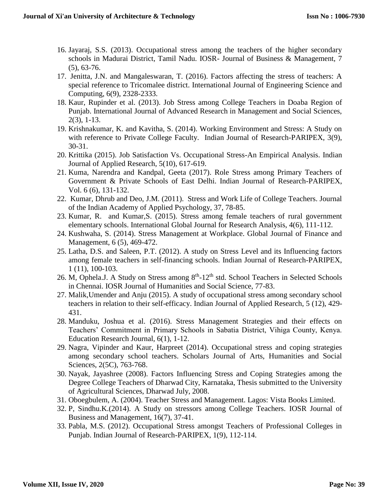- 16. Jayaraj, S.S. (2013). Occupational stress among the teachers of the higher secondary schools in Madurai District, Tamil Nadu. IOSR- Journal of Business & Management, 7 (5), 63-76.
- 17. Jenitta, J.N. and Mangaleswaran, T. (2016). Factors affecting the stress of teachers: A special reference to Tricomalee district. International Journal of Engineering Science and Computing, 6(9), 2328-2333.
- 18. Kaur, Rupinder et al. (2013). Job Stress among College Teachers in Doaba Region of Punjab. International Journal of Advanced Research in Management and Social Sciences, 2(3), 1-13.
- 19. Krishnakumar, K. and Kavitha, S. (2014). Working Environment and Stress: A Study on with reference to Private College Faculty. Indian Journal of Research-PARIPEX, 3(9), 30-31.
- 20. Krittika (2015). Job Satisfaction Vs. Occupational Stress-An Empirical Analysis. Indian Journal of Applied Research, 5(10), 617-619.
- 21. Kuma, Narendra and Kandpal, Geeta (2017). Role Stress among Primary Teachers of Government & Private Schools of East Delhi. Indian Journal of Research-PARIPEX, Vol. 6 (6), 131-132.
- 22. Kumar, Dhrub and Deo, J.M. (2011). Stress and Work Life of College Teachers. Journal of the Indian Academy of Applied Psychology, 37, 78-85.
- 23. Kumar, R. and Kumar,S. (2015). Stress among female teachers of rural government elementary schools. International Global Journal for Research Analysis, 4(6), 111-112.
- 24. Kushwaha, S. (2014). Stress Management at Workplace. Global Journal of Finance and Management, 6 (5), 469-472.
- 25. Latha, D.S. and Saleen, P.T. (2012). A study on Stress Level and its Influencing factors among female teachers in self-financing schools. Indian Journal of Research-PARIPEX, 1 (11), 100-103.
- 26. M, Ophela.J. A Study on Stress among  $8<sup>th</sup>$ -12<sup>th</sup> std. School Teachers in Selected Schools in Chennai. IOSR Journal of Humanities and Social Science, 77-83.
- 27. Malik,Umender and Anju (2015). A study of occupational stress among secondary school teachers in relation to their self-efficacy. Indian Journal of Applied Research, 5 (12), 429- 431.
- 28. Manduku, Joshua et al. (2016). Stress Management Strategies and their effects on Teachers' Commitment in Primary Schools in Sabatia District, Vihiga County, Kenya. Education Research Journal, 6(1), 1-12.
- 29. Nagra, Vipinder and Kaur, Harpreet (2014). Occupational stress and coping strategies among secondary school teachers. Scholars Journal of Arts, Humanities and Social Sciences, 2(5C), 763-768.
- 30. Nayak, Jayashree (2008). Factors Influencing Stress and Coping Strategies among the Degree College Teachers of Dharwad City, Karnataka, Thesis submitted to the University of Agricultural Sciences, Dharwad July, 2008.
- 31. Oboegbulem, A. (2004). Teacher Stress and Management. Lagos: Vista Books Limited.
- 32. P, Sindhu.K.(2014). A Study on stressors among College Teachers. IOSR Journal of Business and Management, 16(7), 37-41.
- 33. Pabla, M.S. (2012). Occupational Stress amongst Teachers of Professional Colleges in Punjab. Indian Journal of Research-PARIPEX, 1(9), 112-114.